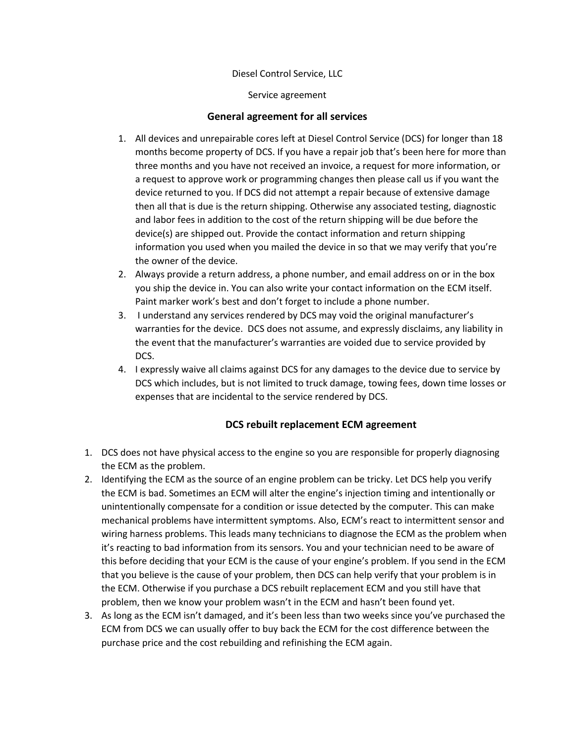### Diesel Control Service, LLC

Service agreement

### **General agreement for all services**

- 1. All devices and unrepairable cores left at Diesel Control Service (DCS) for longer than 18 months become property of DCS. If you have a repair job that's been here for more than three months and you have not received an invoice, a request for more information, or a request to approve work or programming changes then please call us if you want the device returned to you. If DCS did not attempt a repair because of extensive damage then all that is due is the return shipping. Otherwise any associated testing, diagnostic and labor fees in addition to the cost of the return shipping will be due before the device(s) are shipped out. Provide the contact information and return shipping information you used when you mailed the device in so that we may verify that you're the owner of the device.
- 2. Always provide a return address, a phone number, and email address on or in the box you ship the device in. You can also write your contact information on the ECM itself. Paint marker work's best and don't forget to include a phone number.
- 3. I understand any services rendered by DCS may void the original manufacturer's warranties for the device. DCS does not assume, and expressly disclaims, any liability in the event that the manufacturer's warranties are voided due to service provided by DCS.
- 4. I expressly waive all claims against DCS for any damages to the device due to service by DCS which includes, but is not limited to truck damage, towing fees, down time losses or expenses that are incidental to the service rendered by DCS.

## **DCS rebuilt replacement ECM agreement**

- 1. DCS does not have physical access to the engine so you are responsible for properly diagnosing the ECM as the problem.
- 2. Identifying the ECM as the source of an engine problem can be tricky. Let DCS help you verify the ECM is bad. Sometimes an ECM will alter the engine's injection timing and intentionally or unintentionally compensate for a condition or issue detected by the computer. This can make mechanical problems have intermittent symptoms. Also, ECM's react to intermittent sensor and wiring harness problems. This leads many technicians to diagnose the ECM as the problem when it's reacting to bad information from its sensors. You and your technician need to be aware of this before deciding that your ECM is the cause of your engine's problem. If you send in the ECM that you believe is the cause of your problem, then DCS can help verify that your problem is in the ECM. Otherwise if you purchase a DCS rebuilt replacement ECM and you still have that problem, then we know your problem wasn't in the ECM and hasn't been found yet.
- 3. As long as the ECM isn't damaged, and it's been less than two weeks since you've purchased the ECM from DCS we can usually offer to buy back the ECM for the cost difference between the purchase price and the cost rebuilding and refinishing the ECM again.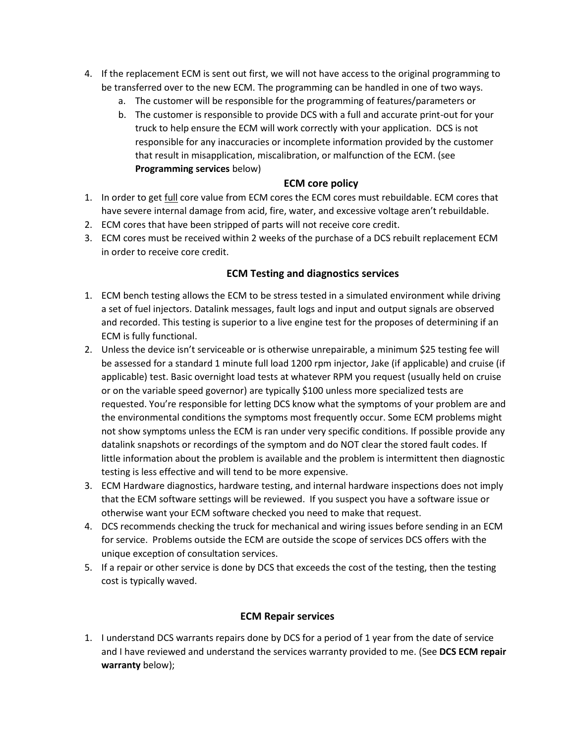- 4. If the replacement ECM is sent out first, we will not have access to the original programming to be transferred over to the new ECM. The programming can be handled in one of two ways.
	- a. The customer will be responsible for the programming of features/parameters or
	- b. The customer is responsible to provide DCS with a full and accurate print-out for your truck to help ensure the ECM will work correctly with your application. DCS is not responsible for any inaccuracies or incomplete information provided by the customer that result in misapplication, miscalibration, or malfunction of the ECM. (see **Programming services** below)

# **ECM core policy**

- 1. In order to get full core value from ECM cores the ECM cores must rebuildable. ECM cores that have severe internal damage from acid, fire, water, and excessive voltage aren't rebuildable.
- 2. ECM cores that have been stripped of parts will not receive core credit.
- 3. ECM cores must be received within 2 weeks of the purchase of a DCS rebuilt replacement ECM in order to receive core credit.

## **ECM Testing and diagnostics services**

- 1. ECM bench testing allows the ECM to be stress tested in a simulated environment while driving a set of fuel injectors. Datalink messages, fault logs and input and output signals are observed and recorded. This testing is superior to a live engine test for the proposes of determining if an ECM is fully functional.
- 2. Unless the device isn't serviceable or is otherwise unrepairable, a minimum \$25 testing fee will be assessed for a standard 1 minute full load 1200 rpm injector, Jake (if applicable) and cruise (if applicable) test. Basic overnight load tests at whatever RPM you request (usually held on cruise or on the variable speed governor) are typically \$100 unless more specialized tests are requested. You're responsible for letting DCS know what the symptoms of your problem are and the environmental conditions the symptoms most frequently occur. Some ECM problems might not show symptoms unless the ECM is ran under very specific conditions. If possible provide any datalink snapshots or recordings of the symptom and do NOT clear the stored fault codes. If little information about the problem is available and the problem is intermittent then diagnostic testing is less effective and will tend to be more expensive.
- 3. ECM Hardware diagnostics, hardware testing, and internal hardware inspections does not imply that the ECM software settings will be reviewed. If you suspect you have a software issue or otherwise want your ECM software checked you need to make that request.
- 4. DCS recommends checking the truck for mechanical and wiring issues before sending in an ECM for service. Problems outside the ECM are outside the scope of services DCS offers with the unique exception of consultation services.
- 5. If a repair or other service is done by DCS that exceeds the cost of the testing, then the testing cost is typically waved.

## **ECM Repair services**

1. I understand DCS warrants repairs done by DCS for a period of 1 year from the date of service and I have reviewed and understand the services warranty provided to me. (See **DCS ECM repair warranty** below);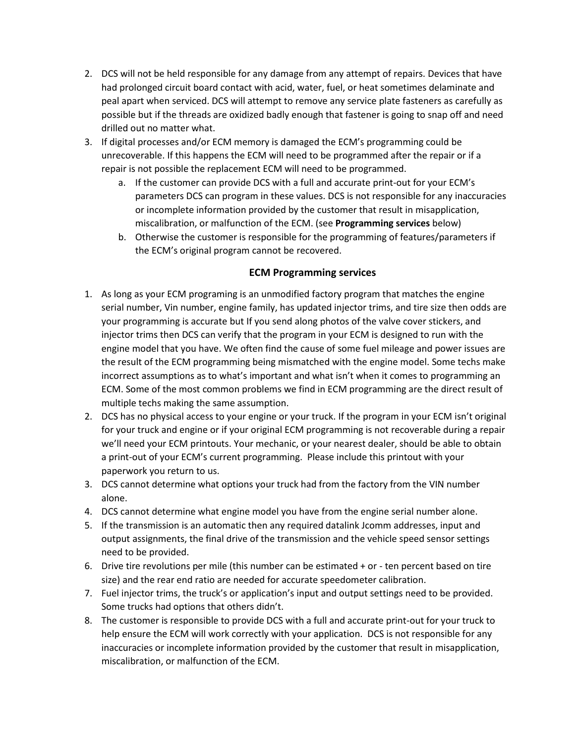- 2. DCS will not be held responsible for any damage from any attempt of repairs. Devices that have had prolonged circuit board contact with acid, water, fuel, or heat sometimes delaminate and peal apart when serviced. DCS will attempt to remove any service plate fasteners as carefully as possible but if the threads are oxidized badly enough that fastener is going to snap off and need drilled out no matter what.
- 3. If digital processes and/or ECM memory is damaged the ECM's programming could be unrecoverable. If this happens the ECM will need to be programmed after the repair or if a repair is not possible the replacement ECM will need to be programmed.
	- a. If the customer can provide DCS with a full and accurate print-out for your ECM's parameters DCS can program in these values. DCS is not responsible for any inaccuracies or incomplete information provided by the customer that result in misapplication, miscalibration, or malfunction of the ECM. (see **Programming services** below)
	- b. Otherwise the customer is responsible for the programming of features/parameters if the ECM's original program cannot be recovered.

### **ECM Programming services**

- 1. As long as your ECM programing is an unmodified factory program that matches the engine serial number, Vin number, engine family, has updated injector trims, and tire size then odds are your programming is accurate but If you send along photos of the valve cover stickers, and injector trims then DCS can verify that the program in your ECM is designed to run with the engine model that you have. We often find the cause of some fuel mileage and power issues are the result of the ECM programming being mismatched with the engine model. Some techs make incorrect assumptions as to what's important and what isn't when it comes to programming an ECM. Some of the most common problems we find in ECM programming are the direct result of multiple techs making the same assumption.
- 2. DCS has no physical access to your engine or your truck. If the program in your ECM isn't original for your truck and engine or if your original ECM programming is not recoverable during a repair we'll need your ECM printouts. Your mechanic, or your nearest dealer, should be able to obtain a print-out of your ECM's current programming. Please include this printout with your paperwork you return to us.
- 3. DCS cannot determine what options your truck had from the factory from the VIN number alone.
- 4. DCS cannot determine what engine model you have from the engine serial number alone.
- 5. If the transmission is an automatic then any required datalink Jcomm addresses, input and output assignments, the final drive of the transmission and the vehicle speed sensor settings need to be provided.
- 6. Drive tire revolutions per mile (this number can be estimated + or ten percent based on tire size) and the rear end ratio are needed for accurate speedometer calibration.
- 7. Fuel injector trims, the truck's or application's input and output settings need to be provided. Some trucks had options that others didn't.
- 8. The customer is responsible to provide DCS with a full and accurate print-out for your truck to help ensure the ECM will work correctly with your application. DCS is not responsible for any inaccuracies or incomplete information provided by the customer that result in misapplication, miscalibration, or malfunction of the ECM.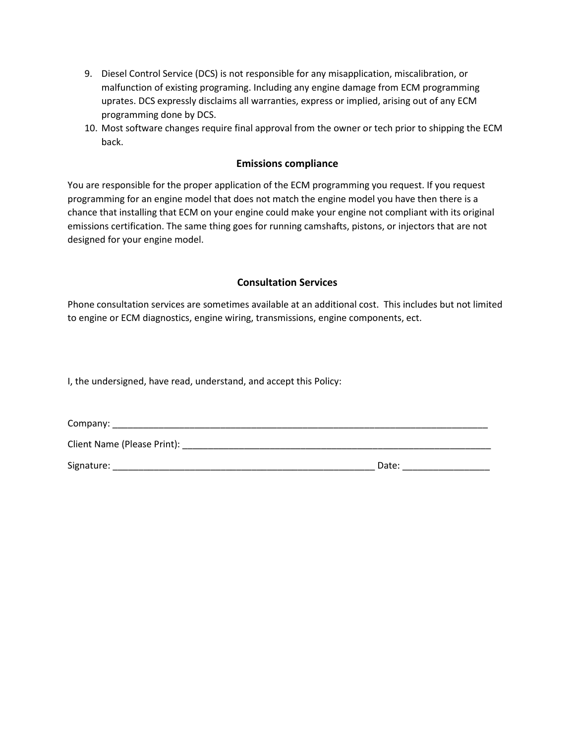- 9. Diesel Control Service (DCS) is not responsible for any misapplication, miscalibration, or malfunction of existing programing. Including any engine damage from ECM programming uprates. DCS expressly disclaims all warranties, express or implied, arising out of any ECM programming done by DCS.
- 10. Most software changes require final approval from the owner or tech prior to shipping the ECM back.

#### **Emissions compliance**

You are responsible for the proper application of the ECM programming you request. If you request programming for an engine model that does not match the engine model you have then there is a chance that installing that ECM on your engine could make your engine not compliant with its original emissions certification. The same thing goes for running camshafts, pistons, or injectors that are not designed for your engine model.

#### **Consultation Services**

Phone consultation services are sometimes available at an additional cost. This includes but not limited to engine or ECM diagnostics, engine wiring, transmissions, engine components, ect.

I, the undersigned, have read, understand, and accept this Policy:

| Company:                    |       |
|-----------------------------|-------|
| Client Name (Please Print): |       |
| Signature:                  | Date: |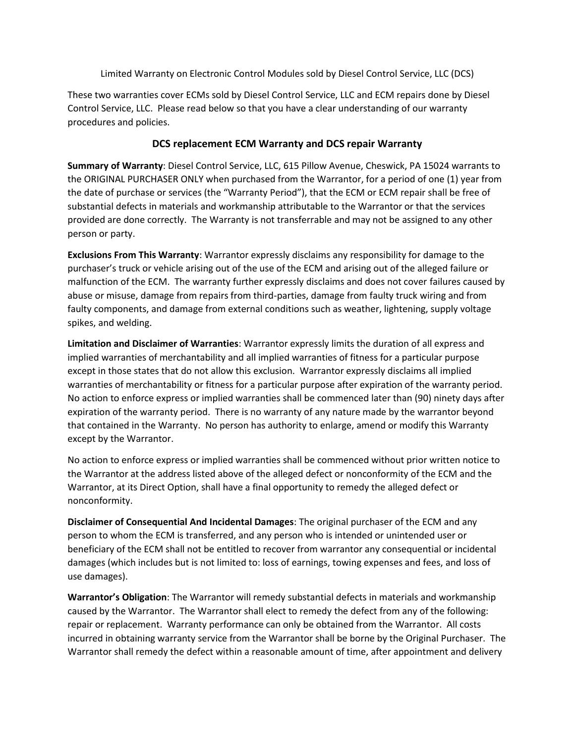Limited Warranty on Electronic Control Modules sold by Diesel Control Service, LLC (DCS)

These two warranties cover ECMs sold by Diesel Control Service, LLC and ECM repairs done by Diesel Control Service, LLC. Please read below so that you have a clear understanding of our warranty procedures and policies.

# **DCS replacement ECM Warranty and DCS repair Warranty**

**Summary of Warranty**: Diesel Control Service, LLC, 615 Pillow Avenue, Cheswick, PA 15024 warrants to the ORIGINAL PURCHASER ONLY when purchased from the Warrantor, for a period of one (1) year from the date of purchase or services (the "Warranty Period"), that the ECM or ECM repair shall be free of substantial defects in materials and workmanship attributable to the Warrantor or that the services provided are done correctly. The Warranty is not transferrable and may not be assigned to any other person or party.

**Exclusions From This Warranty**: Warrantor expressly disclaims any responsibility for damage to the purchaser's truck or vehicle arising out of the use of the ECM and arising out of the alleged failure or malfunction of the ECM. The warranty further expressly disclaims and does not cover failures caused by abuse or misuse, damage from repairs from third-parties, damage from faulty truck wiring and from faulty components, and damage from external conditions such as weather, lightening, supply voltage spikes, and welding.

**Limitation and Disclaimer of Warranties**: Warrantor expressly limits the duration of all express and implied warranties of merchantability and all implied warranties of fitness for a particular purpose except in those states that do not allow this exclusion. Warrantor expressly disclaims all implied warranties of merchantability or fitness for a particular purpose after expiration of the warranty period. No action to enforce express or implied warranties shall be commenced later than (90) ninety days after expiration of the warranty period. There is no warranty of any nature made by the warrantor beyond that contained in the Warranty. No person has authority to enlarge, amend or modify this Warranty except by the Warrantor.

No action to enforce express or implied warranties shall be commenced without prior written notice to the Warrantor at the address listed above of the alleged defect or nonconformity of the ECM and the Warrantor, at its Direct Option, shall have a final opportunity to remedy the alleged defect or nonconformity.

**Disclaimer of Consequential And Incidental Damages**: The original purchaser of the ECM and any person to whom the ECM is transferred, and any person who is intended or unintended user or beneficiary of the ECM shall not be entitled to recover from warrantor any consequential or incidental damages (which includes but is not limited to: loss of earnings, towing expenses and fees, and loss of use damages).

**Warrantor's Obligation**: The Warrantor will remedy substantial defects in materials and workmanship caused by the Warrantor. The Warrantor shall elect to remedy the defect from any of the following: repair or replacement. Warranty performance can only be obtained from the Warrantor. All costs incurred in obtaining warranty service from the Warrantor shall be borne by the Original Purchaser. The Warrantor shall remedy the defect within a reasonable amount of time, after appointment and delivery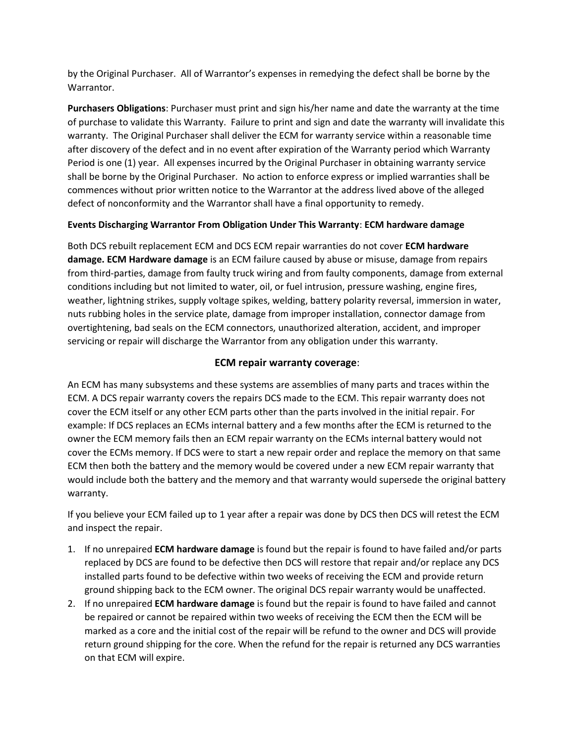by the Original Purchaser. All of Warrantor's expenses in remedying the defect shall be borne by the Warrantor.

**Purchasers Obligations**: Purchaser must print and sign his/her name and date the warranty at the time of purchase to validate this Warranty. Failure to print and sign and date the warranty will invalidate this warranty. The Original Purchaser shall deliver the ECM for warranty service within a reasonable time after discovery of the defect and in no event after expiration of the Warranty period which Warranty Period is one (1) year. All expenses incurred by the Original Purchaser in obtaining warranty service shall be borne by the Original Purchaser. No action to enforce express or implied warranties shall be commences without prior written notice to the Warrantor at the address lived above of the alleged defect of nonconformity and the Warrantor shall have a final opportunity to remedy.

## **Events Discharging Warrantor From Obligation Under This Warranty**: **ECM hardware damage**

Both DCS rebuilt replacement ECM and DCS ECM repair warranties do not cover **ECM hardware damage. ECM Hardware damage** is an ECM failure caused by abuse or misuse, damage from repairs from third-parties, damage from faulty truck wiring and from faulty components, damage from external conditions including but not limited to water, oil, or fuel intrusion, pressure washing, engine fires, weather, lightning strikes, supply voltage spikes, welding, battery polarity reversal, immersion in water, nuts rubbing holes in the service plate, damage from improper installation, connector damage from overtightening, bad seals on the ECM connectors, unauthorized alteration, accident, and improper servicing or repair will discharge the Warrantor from any obligation under this warranty.

## **ECM repair warranty coverage**:

An ECM has many subsystems and these systems are assemblies of many parts and traces within the ECM. A DCS repair warranty covers the repairs DCS made to the ECM. This repair warranty does not cover the ECM itself or any other ECM parts other than the parts involved in the initial repair. For example: If DCS replaces an ECMs internal battery and a few months after the ECM is returned to the owner the ECM memory fails then an ECM repair warranty on the ECMs internal battery would not cover the ECMs memory. If DCS were to start a new repair order and replace the memory on that same ECM then both the battery and the memory would be covered under a new ECM repair warranty that would include both the battery and the memory and that warranty would supersede the original battery warranty.

If you believe your ECM failed up to 1 year after a repair was done by DCS then DCS will retest the ECM and inspect the repair.

- 1. If no unrepaired **ECM hardware damage** is found but the repair is found to have failed and/or parts replaced by DCS are found to be defective then DCS will restore that repair and/or replace any DCS installed parts found to be defective within two weeks of receiving the ECM and provide return ground shipping back to the ECM owner. The original DCS repair warranty would be unaffected.
- 2. If no unrepaired **ECM hardware damage** is found but the repair is found to have failed and cannot be repaired or cannot be repaired within two weeks of receiving the ECM then the ECM will be marked as a core and the initial cost of the repair will be refund to the owner and DCS will provide return ground shipping for the core. When the refund for the repair is returned any DCS warranties on that ECM will expire.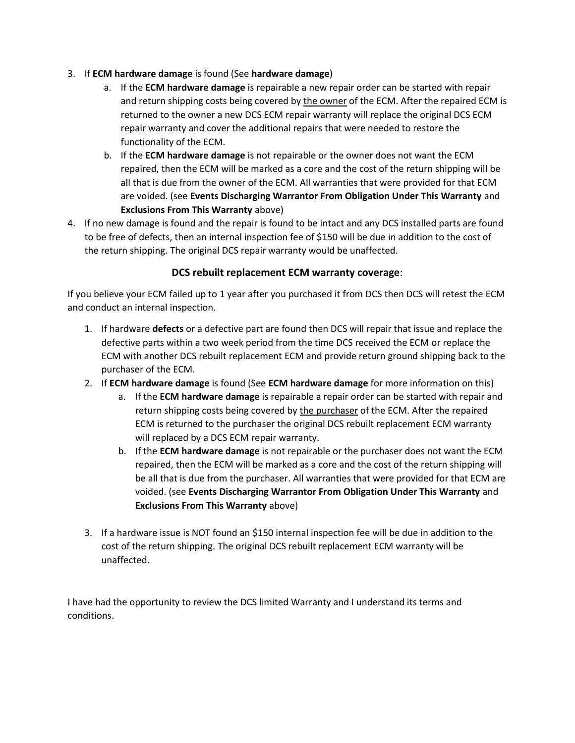- 3. If **ECM hardware damage** is found (See **hardware damage**)
	- a. If the **ECM hardware damage** is repairable a new repair order can be started with repair and return shipping costs being covered by the owner of the ECM. After the repaired ECM is returned to the owner a new DCS ECM repair warranty will replace the original DCS ECM repair warranty and cover the additional repairs that were needed to restore the functionality of the ECM.
	- b. If the **ECM hardware damage** is not repairable or the owner does not want the ECM repaired, then the ECM will be marked as a core and the cost of the return shipping will be all that is due from the owner of the ECM. All warranties that were provided for that ECM are voided. (see **Events Discharging Warrantor From Obligation Under This Warranty** and **Exclusions From This Warranty** above)
- 4. If no new damage is found and the repair is found to be intact and any DCS installed parts are found to be free of defects, then an internal inspection fee of \$150 will be due in addition to the cost of the return shipping. The original DCS repair warranty would be unaffected.

## **DCS rebuilt replacement ECM warranty coverage**:

If you believe your ECM failed up to 1 year after you purchased it from DCS then DCS will retest the ECM and conduct an internal inspection.

- 1. If hardware **defects** or a defective part are found then DCS will repair that issue and replace the defective parts within a two week period from the time DCS received the ECM or replace the ECM with another DCS rebuilt replacement ECM and provide return ground shipping back to the purchaser of the ECM.
- 2. If **ECM hardware damage** is found (See **ECM hardware damage** for more information on this)
	- a. If the **ECM hardware damage** is repairable a repair order can be started with repair and return shipping costs being covered by the purchaser of the ECM. After the repaired ECM is returned to the purchaser the original DCS rebuilt replacement ECM warranty will replaced by a DCS ECM repair warranty.
	- b. If the **ECM hardware damage** is not repairable or the purchaser does not want the ECM repaired, then the ECM will be marked as a core and the cost of the return shipping will be all that is due from the purchaser. All warranties that were provided for that ECM are voided. (see **Events Discharging Warrantor From Obligation Under This Warranty** and **Exclusions From This Warranty** above)
- 3. If a hardware issue is NOT found an \$150 internal inspection fee will be due in addition to the cost of the return shipping. The original DCS rebuilt replacement ECM warranty will be unaffected.

I have had the opportunity to review the DCS limited Warranty and I understand its terms and conditions.